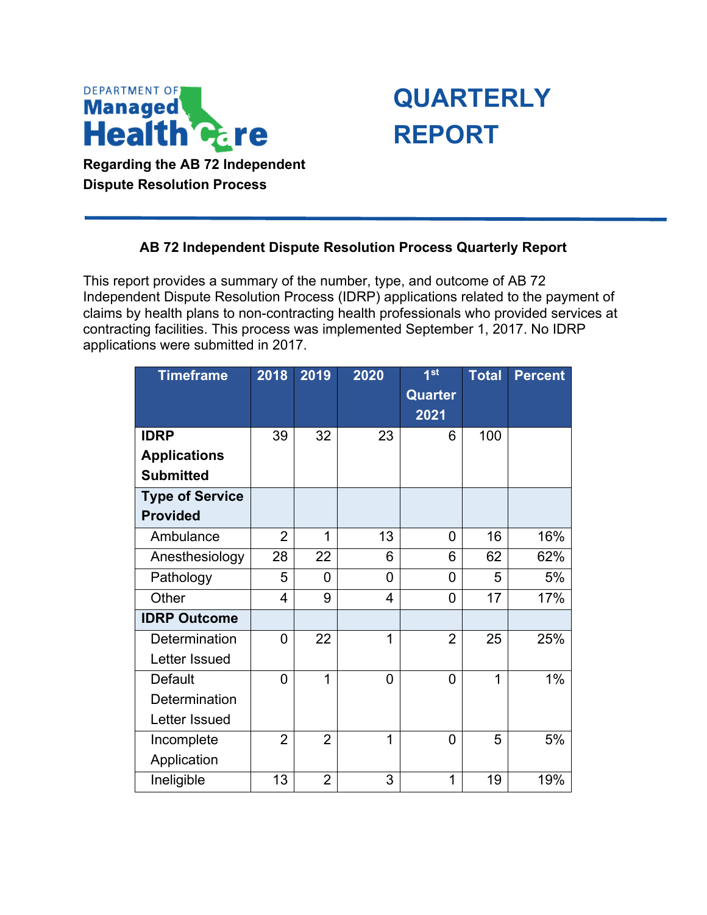



## **AB 72 Independent Dispute Resolution Process Quarterly Report**

This report provides a summary of the number, type, and outcome of AB 72 Independent Dispute Resolution Process (IDRP) applications related to the payment of claims by health plans to non-contracting health professionals who provided services at contracting facilities. This process was implemented September 1, 2017. No IDRP applications were submitted in 2017.

| <b>Timeframe</b>       | 2018           | 2019           | 2020 | 1st            | <b>Total</b> | <b>Percent</b> |
|------------------------|----------------|----------------|------|----------------|--------------|----------------|
|                        |                |                |      | Quarter        |              |                |
|                        |                |                |      | 2021           |              |                |
| <b>IDRP</b>            | 39             | 32             | 23   | 6              | 100          |                |
| <b>Applications</b>    |                |                |      |                |              |                |
| <b>Submitted</b>       |                |                |      |                |              |                |
| <b>Type of Service</b> |                |                |      |                |              |                |
| <b>Provided</b>        |                |                |      |                |              |                |
| Ambulance              | $\overline{2}$ | 1              | 13   | 0              | 16           | 16%            |
| Anesthesiology         | 28             | 22             | 6    | 6              | 62           | 62%            |
| Pathology              | 5              | 0              | 0    | 0              | 5            | 5%             |
| Other                  | 4              | 9              | 4    | 0              | 17           | 17%            |
| <b>IDRP Outcome</b>    |                |                |      |                |              |                |
| Determination          | $\overline{0}$ | 22             | 1    | $\overline{2}$ | 25           | 25%            |
| Letter Issued          |                |                |      |                |              |                |
| Default                | 0              | 1              | 0    | $\overline{0}$ | 1            | $1\%$          |
| Determination          |                |                |      |                |              |                |
| Letter Issued          |                |                |      |                |              |                |
| Incomplete             | $\overline{2}$ | $\overline{2}$ | 1    | 0              | 5            | 5%             |
| Application            |                |                |      |                |              |                |
| Ineligible             | 13             | $\overline{2}$ | 3    | $\overline{1}$ | 19           | 19%            |